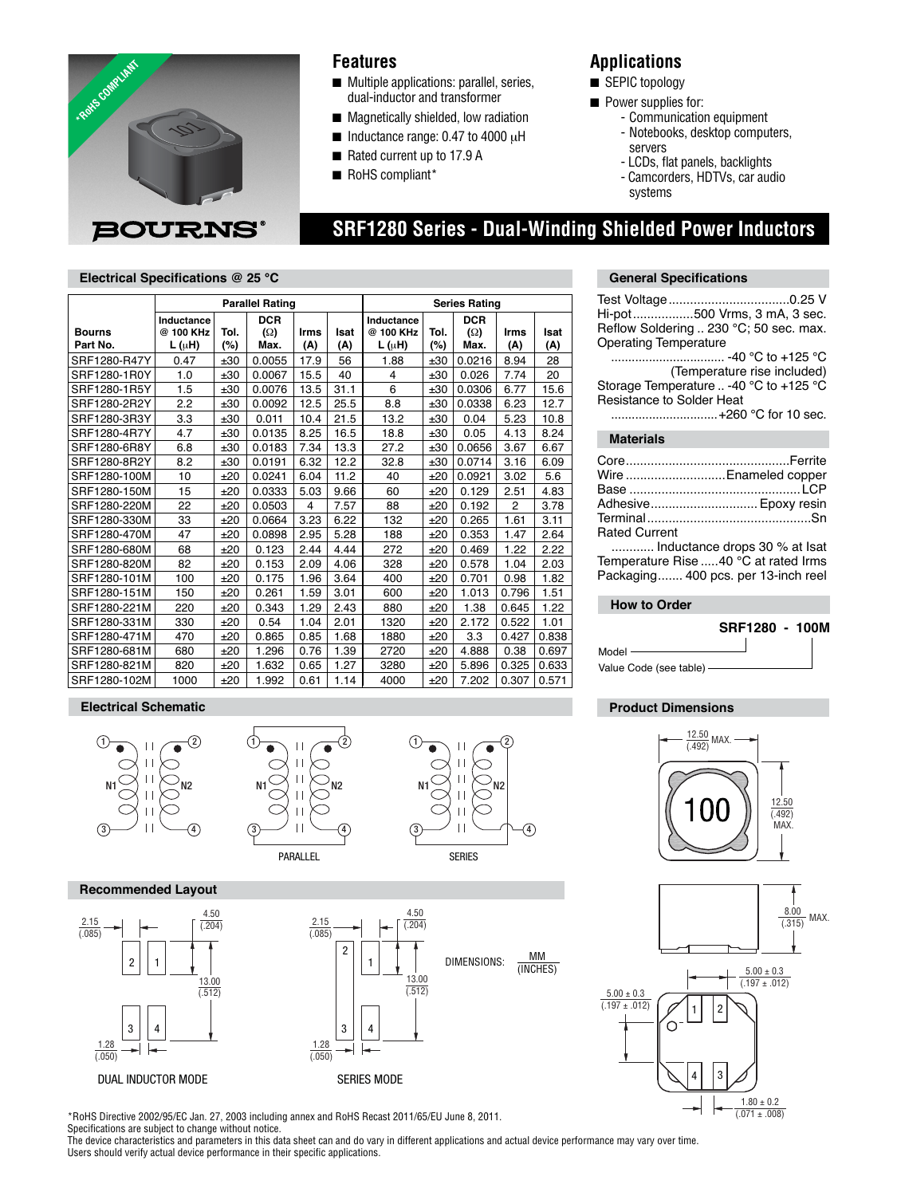

### **Features**

- Multiple applications: parallel, series, dual-inductor and transformer
- Magnetically shielded, low radiation
- $\blacksquare$  Inductance range: 0.47 to 4000  $\mu$ H
- Rated current up to 17.9 A
- RoHS compliant\*

### **Applications**

■ SEPIC topology

 **SRF1280 Series - Dual-Winding Shielded Power Inductors**

- Power supplies for:
	- Communication equipment
	- Notebooks, desktop computers, servers
	- LCDs, flat panels, backlights
	- Camcorders, HDTVs, car audio systems

#### **Electrical Specifications @ 25 °C**

|                           |                                       | <b>Parallel Rating</b> | <b>Series Rating</b>             |             |                    |                                   |             |                                  |                    |             |
|---------------------------|---------------------------------------|------------------------|----------------------------------|-------------|--------------------|-----------------------------------|-------------|----------------------------------|--------------------|-------------|
| <b>Bourns</b><br>Part No. | Inductance<br>@ 100 KHz<br>$L(\mu H)$ | Tol.<br>(%)            | <b>DCR</b><br>$(\Omega)$<br>Max. | Irms<br>(A) | <b>Isat</b><br>(A) | Inductance<br>@ 100 KHz<br>L (μH) | Tol.<br>(%) | <b>DCR</b><br>$(\Omega)$<br>Max. | <b>Irms</b><br>(A) | Isat<br>(A) |
| SRF1280-R47Y              | 0.47                                  | ±30                    | 0.0055                           | 17.9        | 56                 | 1.88                              | ±30         | 0.0216                           | 8.94               | 28          |
| SRF1280-1R0Y              | 1.0                                   | ±30                    | 0.0067                           | 15.5        | 40                 | $\overline{4}$                    | ±30         | 0.026                            | 7.74               | 20          |
| SRF1280-1R5Y              | 1.5                                   | ±30                    | 0.0076                           | 13.5        | 31.1               | 6                                 | ±30         | 0.0306                           | 6.77               | 15.6        |
| SRF1280-2R2Y              | 2.2                                   | ±30                    | 0.0092                           | 12.5        | 25.5               | 8.8                               | ±30         | 0.0338                           | 6.23               | 12.7        |
| SRF1280-3R3Y              | 3.3                                   | ±30                    | 0.011                            | 10.4        | 21.5               | 13.2                              | ±30         | 0.04                             | 5.23               | 10.8        |
| SRF1280-4R7Y              | 4.7                                   | ±30                    | 0.0135                           | 8.25        | 16.5               | 18.8                              | ±30         | 0.05                             | 4.13               | 8.24        |
| SRF1280-6R8Y              | 6.8                                   | ±30                    | 0.0183                           | 7.34        | 13.3               | 27.2                              | ±30         | 0.0656                           | 3.67               | 6.67        |
| SRF1280-8R2Y              | 8.2                                   | ±30                    | 0.0191                           | 6.32        | 12.2               | 32.8                              | ±30         | 0.0714                           | 3.16               | 6.09        |
| SRF1280-100M              | 10                                    | ±20                    | 0.0241                           | 6.04        | 11.2               | 40                                | ±20         | 0.0921                           | 3.02               | 5.6         |
| SRF1280-150M              | 15                                    | ±20                    | 0.0333                           | 5.03        | 9.66               | 60                                | ±20         | 0.129                            | 2.51               | 4.83        |
| SRF1280-220M              | 22                                    | ±20                    | 0.0503                           | 4           | 7.57               | 88                                | ±20         | 0.192                            | 2                  | 3.78        |
| SRF1280-330M              | 33                                    | ±20                    | 0.0664                           | 3.23        | 6.22               | 132                               | ±20         | 0.265                            | 1.61               | 3.11        |
| SRF1280-470M              | 47                                    | ±20                    | 0.0898                           | 2.95        | 5.28               | 188                               | ±20         | 0.353                            | 1.47               | 2.64        |
| SRF1280-680M              | 68                                    | ±20                    | 0.123                            | 2.44        | 4.44               | 272                               | ±20         | 0.469                            | 1.22               | 2.22        |
| SRF1280-820M              | 82                                    | ±20                    | 0.153                            | 2.09        | 4.06               | 328                               | ±20         | 0.578                            | 1.04               | 2.03        |
| SRF1280-101M              | 100                                   | ±20                    | 0.175                            | 1.96        | 3.64               | 400                               | ±20         | 0.701                            | 0.98               | 1.82        |
| SRF1280-151M              | 150                                   | ±20                    | 0.261                            | 1.59        | 3.01               | 600                               | ±20         | 1.013                            | 0.796              | 1.51        |
| SRF1280-221M              | 220                                   | ±20                    | 0.343                            | 1.29        | 2.43               | 880                               | ±20         | 1.38                             | 0.645              | 1.22        |
| SRF1280-331M              | 330                                   | ±20                    | 0.54                             | 1.04        | 2.01               | 1320                              | ±20         | 2.172                            | 0.522              | 1.01        |
| SRF1280-471M              | 470                                   | ±20                    | 0.865                            | 0.85        | 1.68               | 1880                              | ±20         | 3.3                              | 0.427              | 0.838       |
| SRF1280-681M              | 680                                   | ±20                    | 1.296                            | 0.76        | 1.39               | 2720                              | ±20         | 4.888                            | 0.38               | 0.697       |
| SRF1280-821M              | 820                                   | ±20                    | 1.632                            | 0.65        | 1.27               | 3280                              | ±20         | 5.896                            | 0.325              | 0.633       |
| SRF1280-102M              | 1000                                  | ±20                    | 1.992                            | 0.61        | 1.14               | 4000                              | ±20         | 7.202                            | 0.307              | 0.571       |

#### Hi-pot .................500 Vrms, 3 mA, 3 sec. Reflow Soldering .. 230 °C; 50 sec. max.

**General Specifications** 

Operating Temperature ................................. -40 °C to +125 °C (Temperature rise included) Storage Temperature .. -40 °C to +125 °C Resistance to Solder Heat ...............................+260 °C for 10 sec.

Test Voltage ..................................0.25 V

#### **Materials**

|                      | Wire Enameled copper                                                                                                                                                                                                                                                                                                |
|----------------------|---------------------------------------------------------------------------------------------------------------------------------------------------------------------------------------------------------------------------------------------------------------------------------------------------------------------|
|                      |                                                                                                                                                                                                                                                                                                                     |
|                      | Adhesive Epoxy resin                                                                                                                                                                                                                                                                                                |
|                      |                                                                                                                                                                                                                                                                                                                     |
| <b>Rated Current</b> |                                                                                                                                                                                                                                                                                                                     |
|                      | $\frac{1}{2}$ $\frac{1}{2}$ $\frac{1}{2}$ $\frac{1}{2}$ $\frac{1}{2}$ $\frac{1}{2}$ $\frac{1}{2}$ $\frac{1}{2}$ $\frac{1}{2}$ $\frac{1}{2}$ $\frac{1}{2}$ $\frac{1}{2}$ $\frac{1}{2}$ $\frac{1}{2}$ $\frac{1}{2}$ $\frac{1}{2}$ $\frac{1}{2}$ $\frac{1}{2}$ $\frac{1}{2}$ $\frac{1}{2}$ $\frac{1}{2}$ $\frac{1}{2}$ |

 ............ Inductance drops 30 % at Isat Temperature Rise .....40 °C at rated Irms Packaging ....... 400 pcs. per 13-inch reel

### **How to Order**



Model Value Code (see table)

### **Product Dimensions**





## **Electrical Schematic**



**Recommended Layout**





(INCHES)







\*RoHS Directive 2002/95/EC Jan. 27, 2003 including annex and RoHS Recast 2011/65/EU June 8, 2011.

Specifications are subject to change without notice.

The device characteristics and parameters in this data sheet can and do vary in different applications and actual device performance may vary over time. Users should verify actual device performance in their specific applications.